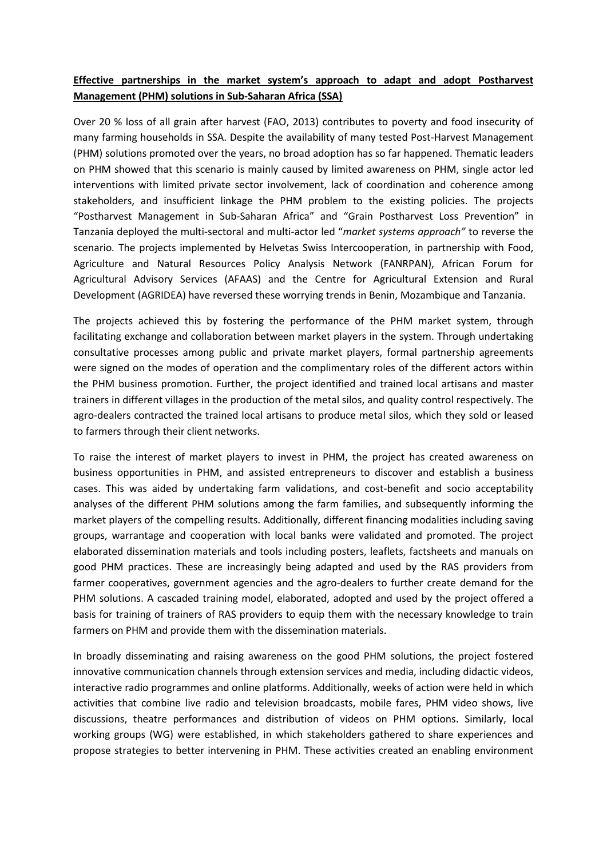## **Effective partnerships in the market system's approach to adapt and adopt Postharvest Management (PHM) solutions in Sub-Saharan Africa (SSA)**

Over 20 % loss of all grain after harvest (FAO, 2013) contributes to poverty and food insecurity of many farming households in SSA. Despite the availability of many tested Post-Harvest Management (PHM) solutions promoted over the years, no broad adoption has so far happened. Thematic leaders on PHM showed that this scenario is mainly caused by limited awareness on PHM, single actor led interventions with limited private sector involvement, lack of coordination and coherence among stakeholders, and insufficient linkage the PHM problem to the existing policies. The projects "Postharvest Management in Sub-Saharan Africa" and "Grain Postharvest Loss Prevention" in Tanzania deployed the multi-sectoral and multi-actor led "*market systems approach"* to reverse the scenario*.* The projects implemented by Helvetas Swiss Intercooperation, in partnership with Food, Agriculture and Natural Resources Policy Analysis Network (FANRPAN), African Forum for Agricultural Advisory Services (AFAAS) and the Centre for Agricultural Extension and Rural Development (AGRIDEA) have reversed these worrying trends in Benin, Mozambique and Tanzania.

The projects achieved this by fostering the performance of the PHM market system, through facilitating exchange and collaboration between market players in the system. Through undertaking consultative processes among public and private market players, formal partnership agreements were signed on the modes of operation and the complimentary roles of the different actors within the PHM business promotion. Further, the project identified and trained local artisans and master trainers in different villages in the production of the metal silos, and quality control respectively. The agro-dealers contracted the trained local artisans to produce metal silos, which they sold or leased to farmers through their client networks.

To raise the interest of market players to invest in PHM, the project has created awareness on business opportunities in PHM, and assisted entrepreneurs to discover and establish a business cases. This was aided by undertaking farm validations, and cost-benefit and socio acceptability analyses of the different PHM solutions among the farm families, and subsequently informing the market players of the compelling results. Additionally, different financing modalities including saving groups, warrantage and cooperation with local banks were validated and promoted. The project elaborated dissemination materials and tools including posters, leaflets, factsheets and manuals on good PHM practices. These are increasingly being adapted and used by the RAS providers from farmer cooperatives, government agencies and the agro-dealers to further create demand for the PHM solutions. A cascaded training model, elaborated, adopted and used by the project offered a basis for training of trainers of RAS providers to equip them with the necessary knowledge to train farmers on PHM and provide them with the dissemination materials.

In broadly disseminating and raising awareness on the good PHM solutions, the project fostered innovative communication channels through extension services and media, including didactic videos, interactive radio programmes and online platforms. Additionally, weeks of action were held in which activities that combine live radio and television broadcasts, mobile fares, PHM video shows, live discussions, theatre performances and distribution of videos on PHM options. Similarly, local working groups (WG) were established, in which stakeholders gathered to share experiences and propose strategies to better intervening in PHM. These activities created an enabling environment